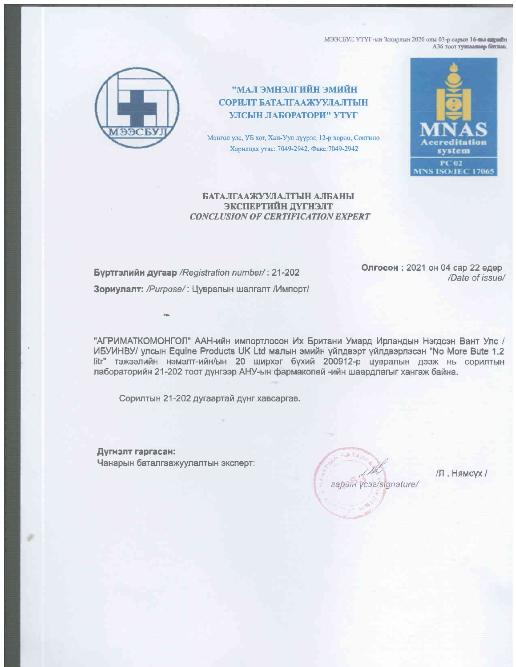МЭЭСБУЛ УТҮГ-ын Захирлын 2020 оны 03-р сарын 16-ны одрайн АЗ6 тоот тушааквар биткав.



НЙИМЕ НЙИТІЛЕНМЕ І.АМ" СОРИЛТ БАТАЛГААЖУУЛАЛТЫН УЛСЫН ЛАБОРАТОРИ" УТҮГ

Монгол улс, УБ хот, Хан-Уул дүүрэг, 12-р хороо, Сонгино Харилцах утас: 7049-2942, Факс: 7049-2942



## БАТАЛГААЖУУЛАЛТЫН АЛБАНЫ ЭКСПЕРТИЙН ДҮГНЭЛТ **CONCLUSION OF CERTIFICATION EXPERT**

Бүртгэлийн дугаар / Registration number/: 21-202 Зориулалт: /Purpose/: Цувралын шалгалт /Импорт/ Олгосон: 2021 он 04 сар 22 өдөр /Date of issue/

"АГРИМАТКОМОНГОЛ" ААН-ийн импортлосон Их Британи Умард Ирландын Нэгдсэн Вант Улс / ИБУИНВУ/ улсын Equine Products UK Ltd малын эмийн үйлдвэрт үйлдвэрлэсэн "No More Bute 1.2 litr" тэжээлийн нэмэлт-ийн/ын 20 ширхэг бүхий 200912-р цувралын дээж нь сорилтын лабораторийн 21-202 тоот дүнгээр АНУ-ын фармакопей -ийн шаардлагыг хангаж байна.

Сорилтын 21-202 дугаартай дүнг хавсаргав.

Дүгнэлт гаргасан: Чанарын баталгаажуулалтын эксперт:

гарын үсэг/signature/

/Л. Нямсух /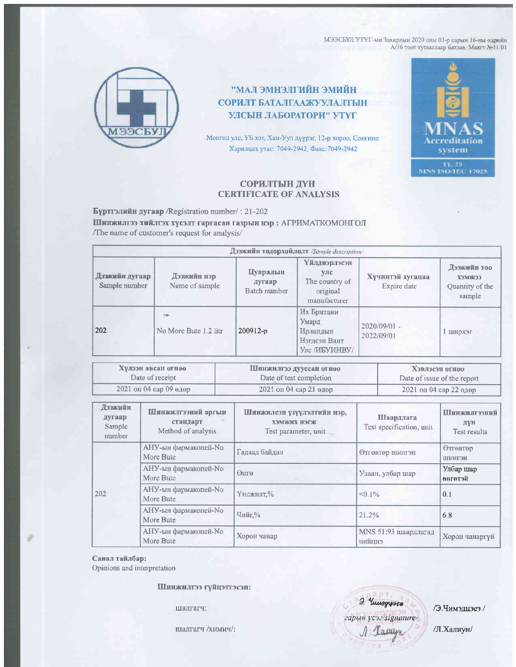МЭЭСБУЛ УТҮГ-ын Захирлын 2020 оны 03-р сарын 16-ны өдрийн А/36 тоот туплаалаар батлав. Маятт Ne11/01



## ИЙИИЕ НЙНТІЕНМЕ ІЛАМ" СОРИЛТ БАТАЛГААЖУУЛАЛТЫН УЛСЫН ЛАБОРАТОРИ" УТҮГ

Монгол улс, УБ хот, Хан-Уул дүүрэг, 12-р хороо, Сонгино Харилцах утас: 7049-2942, Факс: 7049-2942



## СОРИЛТЫН ДҮН **CERTIFICATE OF ANALYSIS**

Бүртгэлийн дугаар /Registration number/: 21-202

Шинжилгээ хийлгэх хүсэлт гаргасан газрын нэр: АГРИМАТКОМОНГОЛ The name of customer's request for analysis/

| Дээжийн тодорхойлолт /Sample description/ |                               |                                    |                                                                   |                                 |                                                    |  |  |  |
|-------------------------------------------|-------------------------------|------------------------------------|-------------------------------------------------------------------|---------------------------------|----------------------------------------------------|--|--|--|
| -color<br>Дэзжийн дугаар<br>Sample number | Дээжийн нэр<br>Name of sample | Цувралын<br>дугаар<br>Batch number | Үйлдвэрлэсэн<br>улс<br>The country of<br>original<br>manufacturer | Хүчинтэй хугацаа<br>Expire date | Дээжийн тоо<br>хэмжээ<br>Quantity of the<br>sample |  |  |  |
| 202                                       | in.<br>No More Bute 1.2 litr  | $200912-p$                         | Их Британи<br>Умард<br>Ирландын<br>Нэгдсэн Вант<br>Улс /ИБУИНВУ/  | $2020/09/01 =$<br>2022/09/01    | 1 ширхэг                                           |  |  |  |

| Хулээн авсан огноо     | Шинжилгээ дууссан огноо | Хэвлэсэн огноо              |
|------------------------|-------------------------|-----------------------------|
| Date of receipt        | Date of test completion | Date of issue of the report |
| 2021 он 04 сар 09 өдөр | 2021 он 04 сар 21 өдөр  | 2021 он 04 сар 22 өдөр      |

| Дээжийн<br>дугаар<br>Sample<br>number | Шинжилгээний аргын<br>стандарт<br>Method of analysis | Шинжилсэн үзүүлэлтийн нэр,<br><b>ХЭМЖИХ НЭГЖ</b><br>Test parameter, unit | Шаардлага<br>Test specification, unit | Шинжилгээний<br>дун<br>Test results |
|---------------------------------------|------------------------------------------------------|--------------------------------------------------------------------------|---------------------------------------|-------------------------------------|
| 202                                   | АНУ-ын фармакопей-No<br>More Bute                    | Гадаад байдал                                                            | Өтгөвтөр шингэн                       | Өтгөвтөр<br>ШИНГЭН                  |
|                                       | АНУ-ын фармакопей-No<br>More Bute                    | Өнгө                                                                     | Улаан, улбар шар                      | Улбар шар<br>өнгөтэй                |
|                                       | АНУ-ын фармакопей-No<br>More Bute                    | Үнсжилт,%                                                                | $< 0.1\%$                             | 0.1                                 |
|                                       | АНУ-ын фармакопей-No<br>More Bute                    | Чийг.%                                                                   | 21.2%                                 | 6.8                                 |
|                                       | АНУ-ын фармакопей-No<br>More Bute                    | Хорон чанар                                                              | MNS 51:93 шаардлагад<br>нийцнэ        | Хорон чанаргүй                      |

Санал тайлбар:

Opinions and interpretation

Шинжилгээ гүйцэтгэсэн:

шалгагч:

плалгагч /химич/:

д. Чишорузев<br>гарын үсэг/signature/<br>Л. Далиун

/Э.Чимэдцэеэ /

/Л.Халиун/